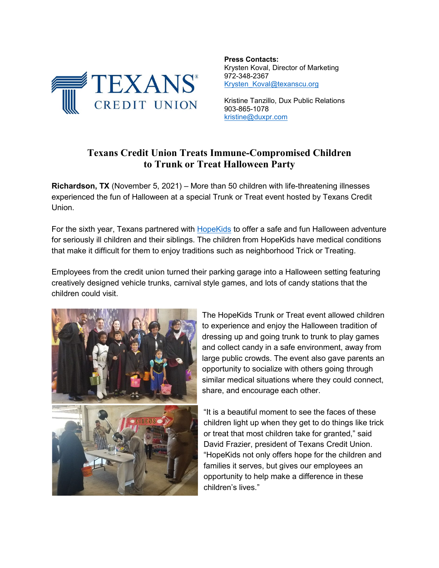

**Press Contacts:** Krysten Koval, Director of Marketing 972-348-2367 [Krysten\\_Koval@texanscu.org](mailto:Krysten_Koval@texanscu.org)

Kristine Tanzillo, Dux Public Relations 903-865-1078 [kristine@duxpr.com](mailto:kristine@duxpr.com)

## **Texans Credit Union Treats Immune-Compromised Children to Trunk or Treat Halloween Party**

**Richardson, TX** (November 5, 2021) – More than 50 children with life-threatening illnesses experienced the fun of Halloween at a special Trunk or Treat event hosted by Texans Credit Union.

For the sixth year, Texans partnered with [HopeKids](https://www.hopekids.org/north-texas-chapter/) to offer a safe and fun Halloween adventure for seriously ill children and their siblings. The children from HopeKids have medical conditions that make it difficult for them to enjoy traditions such as neighborhood Trick or Treating.

Employees from the credit union turned their parking garage into a Halloween setting featuring creatively designed vehicle trunks, carnival style games, and lots of candy stations that the children could visit.



The HopeKids Trunk or Treat event allowed children to experience and enjoy the Halloween tradition of dressing up and going trunk to trunk to play games and collect candy in a safe environment, away from large public crowds. The event also gave parents an opportunity to socialize with others going through similar medical situations where they could connect, share, and encourage each other.

"It is a beautiful moment to see the faces of these children light up when they get to do things like trick or treat that most children take for granted," said David Frazier, president of Texans Credit Union. "HopeKids not only offers hope for the children and families it serves, but gives our employees an opportunity to help make a difference in these children's lives."